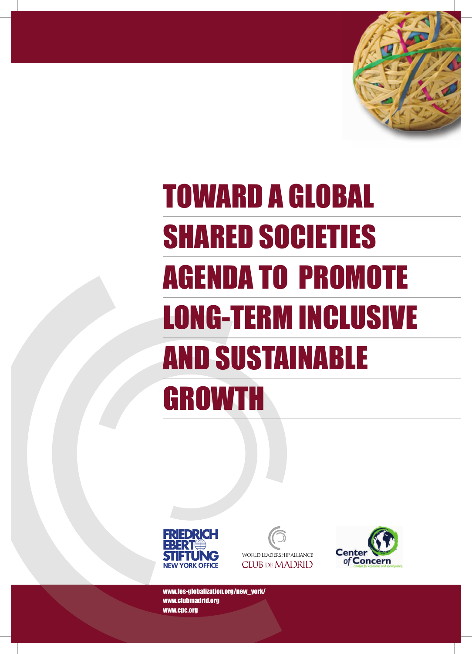

# TOWARD A GLOBAL SHARED SOCIETIES AGENDA TO PROMOTE LONG-TERM INCLUSIVE AND SUSTAINABLE **GROWTH**







www.fes-globalization.org/new\_york/ www.clubmadrid.org www.cpc.org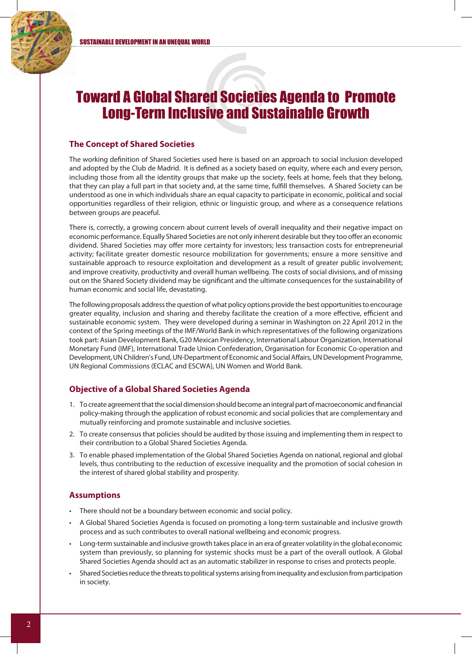

## Toward A Global Shared Societies Agenda to Promote Long-Term Inclusive and Sustainable Growth

#### **The Concept of Shared Societies**

The working definition of Shared Societies used here is based on an approach to social inclusion developed and adopted by the Club de Madrid. It is defined as a society based on equity, where each and every person, including those from all the identity groups that make up the society, feels at home, feels that they belong, that they can play a full part in that society and, at the same time, fulfill themselves. A Shared Society can be understood as one in which individuals share an equal capacity to participate in economic, political and social opportunities regardless of their religion, ethnic or linguistic group, and where as a consequence relations between groups are peaceful.

There is, correctly, a growing concern about current levels of overall inequality and their negative impact on economic performance. Equally Shared Societies are not only inherent desirable but they too offer an economic dividend. Shared Societies may offer more certainty for investors; less transaction costs for entrepreneurial activity; facilitate greater domestic resource mobilization for governments; ensure a more sensitive and sustainable approach to resource exploitation and development as a result of greater public involvement; and improve creativity, productivity and overall human wellbeing. The costs of social divisions, and of missing out on the Shared Society dividend may be significant and the ultimate consequences for the sustainability of human economic and social life, devastating.

The following proposals address the question of what policy options provide the best opportunities to encourage greater equality, inclusion and sharing and thereby facilitate the creation of a more effective, efficient and sustainable economic system. They were developed during a seminar in Washington on 22 April 2012 in the context of the Spring meetings of the IMF/World Bank in which representatives of the following organizations took part: Asian Development Bank, G20 Mexican Presidency, International Labour Organization, International Monetary Fund (IMF), International Trade Union Confederation, Organisation for Economic Co-operation and Development, UN Children's Fund, UN-Department of Economic and Social Affairs, UN Development Programme, UN Regional Commissions (ECLAC and ESCWA), UN Women and World Bank.

#### **Objective of a Global Shared Societies Agenda**

- 1. To create agreement that the social dimension should become an integral part of macroeconomic and financial policy-making through the application of robust economic and social policies that are complementary and mutually reinforcing and promote sustainable and inclusive societies.
- 2. To create consensus that policies should be audited by those issuing and implementing them in respect to their contribution to a Global Shared Societies Agenda.
- 3. To enable phased implementation of the Global Shared Societies Agenda on national, regional and global levels, thus contributing to the reduction of excessive inequality and the promotion of social cohesion in the interest of shared global stability and prosperity.

#### **Assumptions**

- There should not be a boundary between economic and social policy.
- A Global Shared Societies Agenda is focused on promoting a long-term sustainable and inclusive growth process and as such contributes to overall national wellbeing and economic progress.
- Long-term sustainable and inclusive growth takes place in an era of greater volatility in the global economic system than previously, so planning for systemic shocks must be a part of the overall outlook. A Global Shared Societies Agenda should act as an automatic stabilizer in response to crises and protects people.
- Shared Societies reduce the threats to political systems arising from inequality and exclusion from participation in society.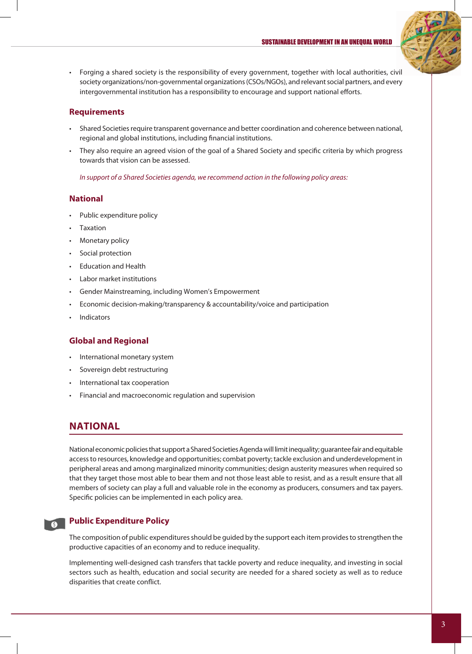

• Forging a shared society is the responsibility of every government, together with local authorities, civil society organizations/non-governmental organizations (CSOs/NGOs), and relevant social partners, and every intergovernmental institution has a responsibility to encourage and support national efforts.

#### **Requirements**

- Shared Societies require transparent governance and better coordination and coherence between national, regional and global institutions, including financial institutions.
- They also require an agreed vision of the goal of a Shared Society and specific criteria by which progress towards that vision can be assessed.

*In support of a Shared Societies agenda, we recommend action in the following policy areas:*

#### **National**

- Public expenditure policy
- **Taxation**
- Monetary policy
- Social protection
- **Education and Health**
- **Labor market institutions**
- Gender Mainstreaming, including Women's Empowerment
- Economic decision-making/transparency & accountability/voice and participation
- **Indicators**

#### **Global and Regional**

- • International monetary system
- Sovereign debt restructuring
- International tax cooperation
- Financial and macroeconomic regulation and supervision

#### **NATIONAL**

National economic policies that support a Shared Societies Agenda will limit inequality; guarantee fair and equitable access to resources, knowledge and opportunities; combat poverty; tackle exclusion and underdevelopment in peripheral areas and among marginalized minority communities; design austerity measures when required so that they target those most able to bear them and not those least able to resist, and as a result ensure that all members of society can play a full and valuable role in the economy as producers, consumers and tax payers. Specific policies can be implemented in each policy area.

#### **Public Expenditure Policy**

The composition of public expenditures should be guided by the support each item provides to strengthen the productive capacities of an economy and to reduce inequality.

Implementing well-designed cash transfers that tackle poverty and reduce inequality, and investing in social sectors such as health, education and social security are needed for a shared society as well as to reduce disparities that create conflict.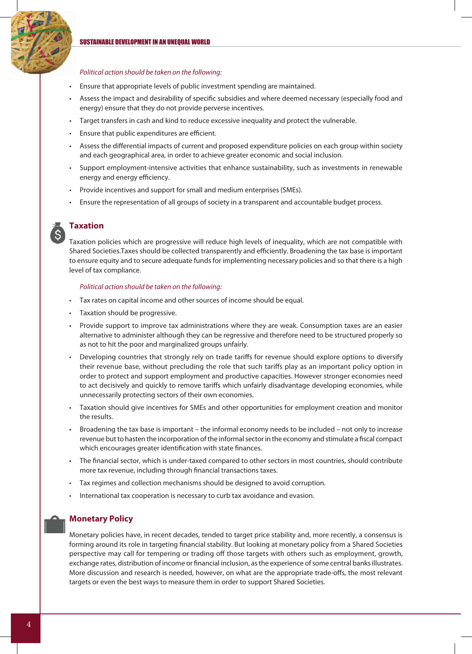#### SUSTAINABLE DEVELOPMENT IN AN UNEQUAL WORLD

#### *Political action should be taken on the following:*

- Ensure that appropriate levels of public investment spending are maintained.
- Assess the impact and desirability of specific subsidies and where deemed necessary (especially food and energy) ensure that they do not provide perverse incentives.
- • Target transfers in cash and kind to reduce excessive inequality and protect the vulnerable.
- Ensure that public expenditures are efficient.
- Assess the differential impacts of current and proposed expenditure policies on each group within society and each geographical area, in order to achieve greater economic and social inclusion.
- Support employment-intensive activities that enhance sustainability, such as investments in renewable energy and energy efficiency.
- Provide incentives and support for small and medium enterprises (SMEs).
- Ensure the representation of all groups of society in a transparent and accountable budget process.



#### **Taxation**

Taxation policies which are progressive will reduce high levels of inequality, which are not compatible with Shared Societies. Taxes should be collected transparently and efficiently. Broadening the tax base is important to ensure equity and to secure adequate funds for implementing necessary policies and so that there is a high level of tax compliance.

#### *Political action should be taken on the following:*

- • Tax rates on capital income and other sources of income should be equal.
- Taxation should be progressive.
- Provide support to improve tax administrations where they are weak. Consumption taxes are an easier alternative to administer although they can be regressive and therefore need to be structured properly so as not to hit the poor and marginalized groups unfairly.
- Developing countries that strongly rely on trade tariffs for revenue should explore options to diversify their revenue base, without precluding the role that such tariffs play as an important policy option in order to protect and support employment and productive capacities. However stronger economies need to act decisively and quickly to remove tariffs which unfairly disadvantage developing economies, while unnecessarily protecting sectors of their own economies.
- Taxation should give incentives for SMEs and other opportunities for employment creation and monitor the results.
- Broadening the tax base is important the informal economy needs to be included not only to increase revenue but to hasten the incorporation of the informal sector in the economy and stimulate a fiscal compact which encourages greater identification with state finances.
- The financial sector, which is under-taxed compared to other sectors in most countries, should contribute more tax revenue, including through financial transactions taxes.
- Tax regimes and collection mechanisms should be designed to avoid corruption.
- International tax cooperation is necessary to curb tax avoidance and evasion.

#### **Monetary Policy**

Monetary policies have, in recent decades, tended to target price stability and, more recently, a consensus is forming around its role in targeting financial stability. But looking at monetary policy from a Shared Societies perspective may call for tempering or trading off those targets with others such as employment, growth, exchange rates, distribution of income or financial inclusion, as the experience of some central banks illustrates. More discussion and research is needed, however, on what are the appropriate trade-offs, the most relevant targets or even the best ways to measure them in order to support Shared Societies.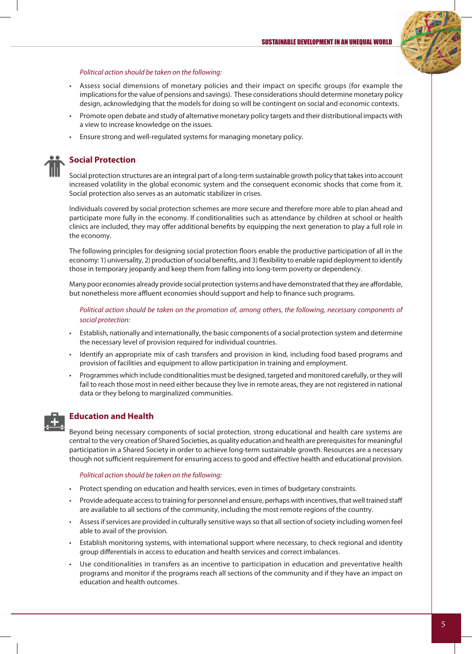

#### *Political action should be taken on the following:*

- Assess social dimensions of monetary policies and their impact on specific groups (for example the implications for the value of pensions and savings). These considerations should determine monetary policy design, acknowledging that the models for doing so will be contingent on social and economic contexts.
- Promote open debate and study of alternative monetary policy targets and their distributional impacts with a view to increase knowledge on the issues.
- Ensure strong and well-regulated systems for managing monetary policy.

#### **Social Protection**

Social protection structures are an integral part of a long-term sustainable growth policy that takes into account increased volatility in the global economic system and the consequent economic shocks that come from it. Social protection also serves as an automatic stabilizer in crises.

Individuals covered by social protection schemes are more secure and therefore more able to plan ahead and participate more fully in the economy. If conditionalities such as attendance by children at school or health clinics are included, they may offer additional benefits by equipping the next generation to play a full role in the economy.

The following principles for designing social protection floors enable the productive participation of all in the economy: 1) universality, 2) production of social benefits, and 3) flexibility to enable rapid deployment to identify those in temporary jeopardy and keep them from falling into long-term poverty or dependency.

Many poor economies already provide social protection systems and have demonstrated that they are affordable, but nonetheless more affluent economies should support and help to finance such programs.

*Political action should be taken on the promotion of, among others, the following, necessary components of social protection:*

- Establish, nationally and internationally, the basic components of a social protection system and determine the necessary level of provision required for individual countries.
- Identify an appropriate mix of cash transfers and provision in kind, including food based programs and provision of facilities and equipment to allow participation in training and employment.
- Programmes which include conditionalities must be designed, targeted and monitored carefully, or they will fail to reach those most in need either because they live in remote areas, they are not registered in national data or they belong to marginalized communities.



#### **Education and Health**

Beyond being necessary components of social protection, strong educational and health care systems are central to the very creation of Shared Societies, as quality education and health are prerequisites for meaningful participation in a Shared Society in order to achieve long-term sustainable growth. Resources are a necessary though not sufficient requirement for ensuring access to good and effective health and educational provision.

#### *Political action should be taken on the following:*

- • Protect spending on education and health services, even in times of budgetary constraints.
- Provide adequate access to training for personnel and ensure, perhaps with incentives, that well trained staff are available to all sections of the community, including the most remote regions of the country.
- Assess if services are provided in culturally sensitive ways so that all section of society including women feel able to avail of the provision.
- Establish monitoring systems, with international support where necessary, to check regional and identity group differentials in access to education and health services and correct imbalances.
- Use conditionalities in transfers as an incentive to participation in education and preventative health programs and monitor if the programs reach all sections of the community and if they have an impact on education and health outcomes.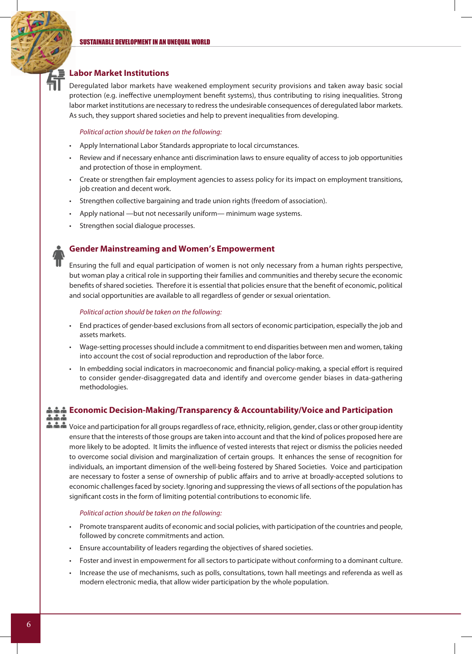#### **Labor Market Institutions**

Deregulated labor markets have weakened employment security provisions and taken away basic social protection (e.g. ineffective unemployment benefit systems), thus contributing to rising inequalities. Strong labor market institutions are necessary to redress the undesirable consequences of deregulated labor markets. As such, they support shared societies and help to prevent inequalities from developing.

#### *Political action should be taken on the following:*

- • Apply International Labor Standards appropriate to local circumstances.
- • Review and if necessary enhance anti discrimination laws to ensure equality of access to job opportunities and protection of those in employment.
- • Create or strengthen fair employment agencies to assess policy for its impact on employment transitions, job creation and decent work.
- Strengthen collective bargaining and trade union rights (freedom of association).
- Apply national —but not necessarily uniform— minimum wage systems.
- Strengthen social dialogue processes.

#### **Gender Mainstreaming and Women's Empowerment**

Ensuring the full and equal participation of women is not only necessary from a human rights perspective, but woman play a critical role in supporting their families and communities and thereby secure the economic benefits of shared societies. Therefore it is essential that policies ensure that the benefit of economic, political and social opportunities are available to all regardless of gender or sexual orientation.

#### *Political action should be taken on the following:*

- • End practices of gender-based exclusions from all sectors of economic participation, especially the job and assets markets.
- Wage-setting processes should include a commitment to end disparities between men and women, taking into account the cost of social reproduction and reproduction of the labor force.
- In embedding social indicators in macroeconomic and financial policy-making, a special effort is required to consider gender-disaggregated data and identify and overcome gender biases in data-gathering methodologies.

#### **Economic Decision-Making/Transparency & Accountability/Voice and Participation**

n n Noice and participation for all groups regardless of race, ethnicity, religion, gender, class or other group identity ensure that the interests of those groups are taken into account and that the kind of polices proposed here are more likely to be adopted. It limits the influence of vested interests that reject or dismiss the policies needed to overcome social division and marginalization of certain groups. It enhances the sense of recognition for individuals, an important dimension of the well-being fostered by Shared Societies. Voice and participation are necessary to foster a sense of ownership of public affairs and to arrive at broadly-accepted solutions to economic challenges faced by society. Ignoring and suppressing the views of all sections of the population has significant costs in the form of limiting potential contributions to economic life.

#### *Political action should be taken on the following:*

- Promote transparent audits of economic and social policies, with participation of the countries and people, followed by concrete commitments and action.
- Ensure accountability of leaders regarding the objectives of shared societies.
- Foster and invest in empowerment for all sectors to participate without conforming to a dominant culture.
- Increase the use of mechanisms, such as polls, consultations, town hall meetings and referenda as well as modern electronic media, that allow wider participation by the whole population.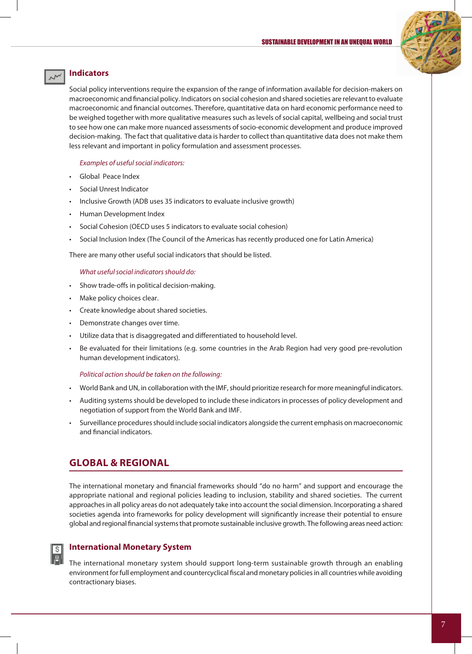#### SUSTAINABLE DEVELOPMENT IN AN UNEQUAL WORLD



#### **Indicators**

Social policy interventions require the expansion of the range of information available for decision-makers on macroeconomic and financial policy. Indicators on social cohesion and shared societies are relevant to evaluate macroeconomic and financial outcomes. Therefore, quantitative data on hard economic performance need to be weighed together with more qualitative measures such as levels of social capital, wellbeing and social trust to see how one can make more nuanced assessments of socio-economic development and produce improved decision-making. The fact that qualitative data is harder to collect than quantitative data does not make them less relevant and important in policy formulation and assessment processes.

*Examples of useful social indicators:*

- Global Peace Index
- Social Unrest Indicator
- Inclusive Growth (ADB uses 35 indicators to evaluate inclusive growth)
- Human Development Index
- Social Cohesion (OECD uses 5 indicators to evaluate social cohesion)
- Social Inclusion Index (The Council of the Americas has recently produced one for Latin America)

There are many other useful social indicators that should be listed.

#### *What useful social indicators should do:*

- Show trade-offs in political decision-making.
- Make policy choices clear.
- Create knowledge about shared societies.
- Demonstrate changes over time.
- Utilize data that is disaggregated and differentiated to household level.
- Be evaluated for their limitations (e.g. some countries in the Arab Region had very good pre-revolution human development indicators).

#### *Political action should be taken on the following:*

- • World Bank and UN, in collaboration with the IMF, should prioritize research for more meaningful indicators.
- Auditing systems should be developed to include these indicators in processes of policy development and negotiation of support from the World Bank and IMF.
- Surveillance procedures should include social indicators alongside the current emphasis on macroeconomic and financial indicators.

### **GLOBAL & REGIONAL**

The international monetary and financial frameworks should "do no harm" and support and encourage the appropriate national and regional policies leading to inclusion, stability and shared societies. The current approaches in all policy areas do not adequately take into account the social dimension. Incorporating a shared societies agenda into frameworks for policy development will significantly increase their potential to ensure global and regional financial systems that promote sustainable inclusive growth. The following areas need action:



#### **International Monetary System**

The international monetary system should support long-term sustainable growth through an enabling environment for full employment and countercyclical fiscal and monetary policies in all countries while avoiding contractionary biases.